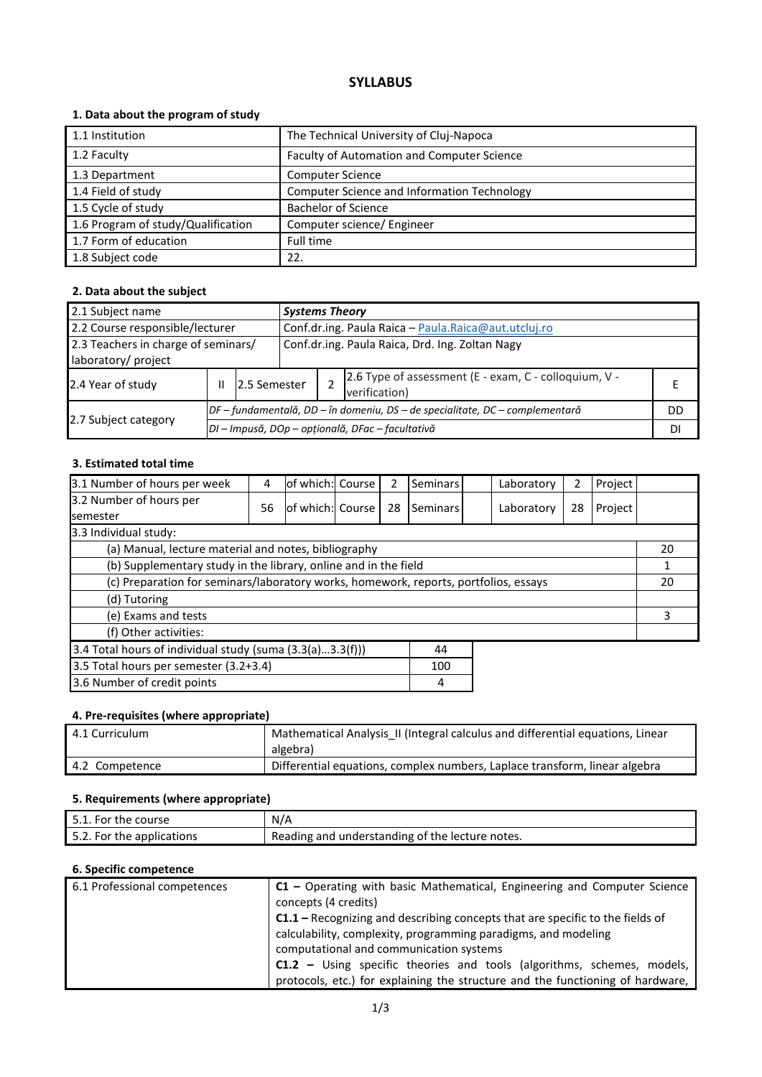## **SYLLABUS**

## **1. Data about the program of study**

| 1.1 Institution                    | The Technical University of Cluj-Napoca     |
|------------------------------------|---------------------------------------------|
| 1.2 Faculty                        | Faculty of Automation and Computer Science  |
| 1.3 Department                     | <b>Computer Science</b>                     |
| 1.4 Field of study                 | Computer Science and Information Technology |
| 1.5 Cycle of study                 | <b>Bachelor of Science</b>                  |
| 1.6 Program of study/Qualification | Computer science/ Engineer                  |
| 1.7 Form of education              | Full time                                   |
| 1.8 Subject code                   | 22.                                         |

## **2. Data about the subject**

| 2.1 Subject name                                           |                   |                                                                              | <b>Systems Theory</b>                           |                                                                        |    |  |  |
|------------------------------------------------------------|-------------------|------------------------------------------------------------------------------|-------------------------------------------------|------------------------------------------------------------------------|----|--|--|
| 2.2 Course responsible/lecturer                            |                   | Conf.dr.ing. Paula Raica - Paula.Raica@aut.utcluj.ro                         |                                                 |                                                                        |    |  |  |
| 2.3 Teachers in charge of seminars/<br>laboratory/ project |                   |                                                                              | Conf.dr.ing. Paula Raica, Drd. Ing. Zoltan Nagy |                                                                        |    |  |  |
| 2.4 Year of study                                          | 2.5 Semester<br>Ш |                                                                              |                                                 | 2.6 Type of assessment (E - exam, C - colloquium, V -<br>verification) |    |  |  |
| 2.7 Subject category                                       |                   | DF – fundamentală, DD – în domeniu, DS – de specialitate, DC – complementară |                                                 |                                                                        |    |  |  |
|                                                            |                   |                                                                              |                                                 | DI – Impusă, DOp – opțională, DFac – facultativă                       | DI |  |  |

#### **3. Estimated total time**

| 3.1 Number of hours per week                                                         | 4  | of which: Course |  | 2  | Seminars |    | Laboratory | 2  | Project |    |
|--------------------------------------------------------------------------------------|----|------------------|--|----|----------|----|------------|----|---------|----|
| 3.2 Number of hours per<br><b>semester</b>                                           | 56 | of which: Course |  | 28 | Seminars |    | Laboratory | 28 | Project |    |
| 3.3 Individual study:                                                                |    |                  |  |    |          |    |            |    |         |    |
| (a) Manual, lecture material and notes, bibliography                                 |    |                  |  |    |          |    |            |    |         | 20 |
| (b) Supplementary study in the library, online and in the field                      |    |                  |  |    |          |    |            |    |         |    |
| (c) Preparation for seminars/laboratory works, homework, reports, portfolios, essays |    |                  |  |    |          | 20 |            |    |         |    |
| (d) Tutoring                                                                         |    |                  |  |    |          |    |            |    |         |    |
| (e) Exams and tests                                                                  |    |                  |  |    |          |    | 3          |    |         |    |
| (f) Other activities:                                                                |    |                  |  |    |          |    |            |    |         |    |
| 3.4 Total hours of individual study (suma (3.3(a)3.3(f)))<br>44                      |    |                  |  |    |          |    |            |    |         |    |
| 3.5 Total hours per semester (3.2+3.4)<br>100                                        |    |                  |  |    |          |    |            |    |         |    |
| 3.6 Number of credit points<br>4                                                     |    |                  |  |    |          |    |            |    |         |    |

## **4. Pre-requisites (where appropriate)**

| 4.1 Curriculum | Mathematical Analysis_II (Integral calculus and differential equations, Linear<br>algebra) |
|----------------|--------------------------------------------------------------------------------------------|
| 4.2 Competence | Differential equations, complex numbers, Laplace transform, linear algebra                 |

## **5. Requirements (where appropriate)**

| 5.1. For the course !     | N/A                                             |
|---------------------------|-------------------------------------------------|
| 5.2. For the applications | Reading and understanding of the lecture notes. |

## **6. Specific competence**

| 6.1 Professional competences | $C1$ – Operating with basic Mathematical, Engineering and Computer Science     |
|------------------------------|--------------------------------------------------------------------------------|
|                              | concepts (4 credits)                                                           |
|                              | C1.1 - Recognizing and describing concepts that are specific to the fields of  |
|                              | calculability, complexity, programming paradigms, and modeling                 |
|                              | computational and communication systems                                        |
|                              | <b>C1.2</b> – Using specific theories and tools (algorithms, schemes, models,  |
|                              | protocols, etc.) for explaining the structure and the functioning of hardware, |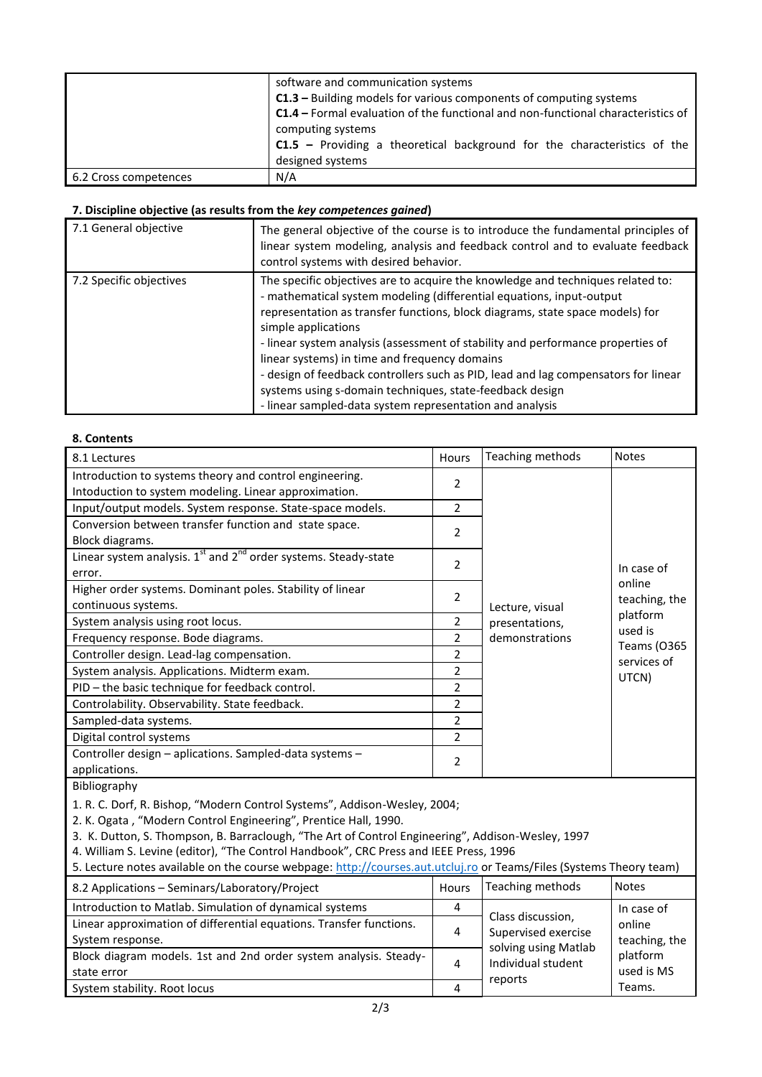|                       | software and communication systems<br>C1.3 - Building models for various components of computing systems<br>C1.4 - Formal evaluation of the functional and non-functional characteristics of |  |  |  |
|-----------------------|----------------------------------------------------------------------------------------------------------------------------------------------------------------------------------------------|--|--|--|
|                       | computing systems<br>$C1.5$ – Providing a theoretical background for the characteristics of the<br>designed systems                                                                          |  |  |  |
| 6.2 Cross competences | N/A                                                                                                                                                                                          |  |  |  |

# **7. Discipline objective (as results from the** *key competences gained***)**

| 7.1 General objective   | The general objective of the course is to introduce the fundamental principles of<br>linear system modeling, analysis and feedback control and to evaluate feedback<br>control systems with desired behavior.                                                                                                                                                                                                                                                                                                                                                                                                     |
|-------------------------|-------------------------------------------------------------------------------------------------------------------------------------------------------------------------------------------------------------------------------------------------------------------------------------------------------------------------------------------------------------------------------------------------------------------------------------------------------------------------------------------------------------------------------------------------------------------------------------------------------------------|
| 7.2 Specific objectives | The specific objectives are to acquire the knowledge and techniques related to:<br>- mathematical system modeling (differential equations, input-output<br>representation as transfer functions, block diagrams, state space models) for<br>simple applications<br>- linear system analysis (assessment of stability and performance properties of<br>linear systems) in time and frequency domains<br>- design of feedback controllers such as PID, lead and lag compensators for linear<br>systems using s-domain techniques, state-feedback design<br>- linear sampled-data system representation and analysis |

#### **8. Contents**

| 8.1 Lectures                                                                                                                                                                                                                                                                                                                                                                                                                                                      | <b>Hours</b>   | Teaching methods                             | <b>Notes</b>            |  |  |
|-------------------------------------------------------------------------------------------------------------------------------------------------------------------------------------------------------------------------------------------------------------------------------------------------------------------------------------------------------------------------------------------------------------------------------------------------------------------|----------------|----------------------------------------------|-------------------------|--|--|
| Introduction to systems theory and control engineering.<br>Intoduction to system modeling. Linear approximation.                                                                                                                                                                                                                                                                                                                                                  | 2              |                                              |                         |  |  |
| Input/output models. System response. State-space models.                                                                                                                                                                                                                                                                                                                                                                                                         | $\overline{2}$ |                                              |                         |  |  |
| Conversion between transfer function and state space.                                                                                                                                                                                                                                                                                                                                                                                                             |                |                                              |                         |  |  |
| Block diagrams.                                                                                                                                                                                                                                                                                                                                                                                                                                                   | 2              |                                              |                         |  |  |
| Linear system analysis. $1^{st}$ and $2^{nd}$ order systems. Steady-state                                                                                                                                                                                                                                                                                                                                                                                         | 2              |                                              |                         |  |  |
| error.                                                                                                                                                                                                                                                                                                                                                                                                                                                            |                |                                              | In case of              |  |  |
| Higher order systems. Dominant poles. Stability of linear                                                                                                                                                                                                                                                                                                                                                                                                         | 2              |                                              | online<br>teaching, the |  |  |
| continuous systems.                                                                                                                                                                                                                                                                                                                                                                                                                                               |                | Lecture, visual                              | platform                |  |  |
| System analysis using root locus.                                                                                                                                                                                                                                                                                                                                                                                                                                 | 2              | presentations,                               | used is                 |  |  |
| Frequency response. Bode diagrams.                                                                                                                                                                                                                                                                                                                                                                                                                                | 2              | demonstrations                               | <b>Teams (0365</b>      |  |  |
| Controller design. Lead-lag compensation.                                                                                                                                                                                                                                                                                                                                                                                                                         | 2              |                                              | services of             |  |  |
| System analysis. Applications. Midterm exam.                                                                                                                                                                                                                                                                                                                                                                                                                      | 2              |                                              | UTCN)                   |  |  |
| PID - the basic technique for feedback control.                                                                                                                                                                                                                                                                                                                                                                                                                   | 2              |                                              |                         |  |  |
| Controlability. Observability. State feedback.                                                                                                                                                                                                                                                                                                                                                                                                                    | 2              |                                              |                         |  |  |
| Sampled-data systems.                                                                                                                                                                                                                                                                                                                                                                                                                                             | 2              |                                              |                         |  |  |
| Digital control systems                                                                                                                                                                                                                                                                                                                                                                                                                                           | 2              |                                              |                         |  |  |
| Controller design - aplications. Sampled-data systems -                                                                                                                                                                                                                                                                                                                                                                                                           |                |                                              |                         |  |  |
| applications.                                                                                                                                                                                                                                                                                                                                                                                                                                                     | 2              |                                              |                         |  |  |
| Bibliography                                                                                                                                                                                                                                                                                                                                                                                                                                                      |                |                                              |                         |  |  |
| 1. R. C. Dorf, R. Bishop, "Modern Control Systems", Addison-Wesley, 2004;<br>2. K. Ogata, "Modern Control Engineering", Prentice Hall, 1990.<br>3. K. Dutton, S. Thompson, B. Barraclough, "The Art of Control Engineering", Addison-Wesley, 1997<br>4. William S. Levine (editor), "The Control Handbook", CRC Press and IEEE Press, 1996<br>5. Lecture notes available on the course webpage: http://courses.aut.utcluj.ro or Teams/Files (Systems Theory team) |                |                                              |                         |  |  |
| 8.2 Applications - Seminars/Laboratory/Project                                                                                                                                                                                                                                                                                                                                                                                                                    | Hours          | Teaching methods                             | <b>Notes</b>            |  |  |
| Introduction to Matlab. Simulation of dynamical systems                                                                                                                                                                                                                                                                                                                                                                                                           | 4              | Class discussion,                            | In case of              |  |  |
| Linear approximation of differential equations. Transfer functions.<br>System response.                                                                                                                                                                                                                                                                                                                                                                           | 4              | Supervised exercise<br>solving using Matlab  | online<br>teaching, the |  |  |
| Block diagram models. 1st and 2nd order system analysis. Steady-<br>state error                                                                                                                                                                                                                                                                                                                                                                                   | 4              | platform<br>Individual student<br>used is MS |                         |  |  |

System stability. Root locus 4

reports

Teams.